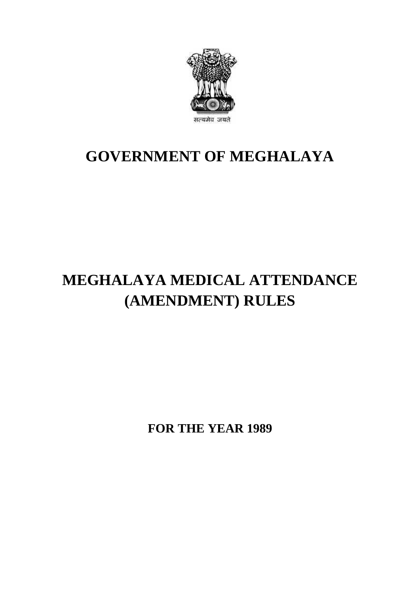

# **GOVERNMENT OF MEGHALAYA**

# **MEGHALAYA MEDICAL ATTENDANCE (AMENDMENT) RULES**

**FOR THE YEAR 1989**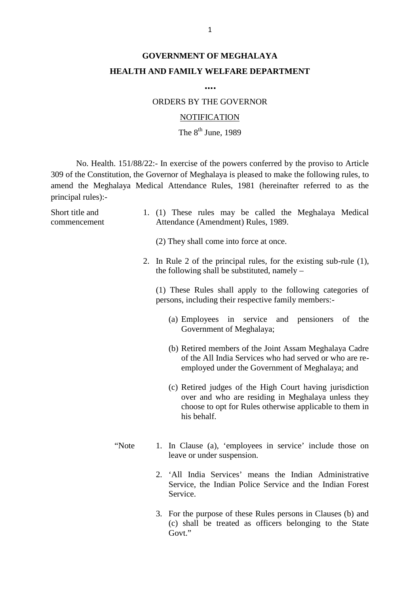## **GOVERNMENT OF MEGHALAYA HEALTH AND FAMILY WELFARE DEPARTMENT**

**….**

### ORDERS BY THE GOVERNOR

#### **NOTIFICATION**

The  $8<sup>th</sup>$  June, 1989

No. Health. 151/88/22:- In exercise of the powers conferred by the proviso to Article 309 of the Constitution, the Governor of Meghalaya is pleased to make the following rules, to amend the Meghalaya Medical Attendance Rules, 1981 (hereinafter referred to as the principal rules):- No. Health. 151/88/22:- In exercise of the powers conferred by the proviso to Article<br>309 of the Constitution, the Governor of Meghalaya is pleased to make the following rules, to<br>amend the Meghalaya Medical Attendance Rul

| principal rules):-              | 309 of the Constitution, the Governor of Meghalaya is pleased to make the following rules, to<br>amend the Meghalaya Medical Attendance Rules, 1981 (hereinafter referred to as the      |
|---------------------------------|------------------------------------------------------------------------------------------------------------------------------------------------------------------------------------------|
| Short title and<br>commencement | 1. (1) These rules may be called the Meghalaya Medical<br>Attendance (Amendment) Rules, 1989.                                                                                            |
|                                 | (2) They shall come into force at once.                                                                                                                                                  |
|                                 | 2. In Rule 2 of the principal rules, for the existing sub-rule (1),<br>the following shall be substituted, namely $-$                                                                    |
|                                 | (1) These Rules shall apply to the following categories of<br>persons, including their respective family members:-                                                                       |
|                                 | (a) Employees in service and pensioners of the<br>Government of Meghalaya;                                                                                                               |
|                                 | (b) Retired members of the Joint Assam Meghalaya Cadre<br>of the All India Services who had served or who are re-<br>employed under the Government of Meghalaya; and                     |
|                                 | (c) Retired judges of the High Court having jurisdiction<br>over and who are residing in Meghalaya unless they<br>choose to opt for Rules otherwise applicable to them in<br>his behalf. |
| "Note                           | 1. In Clause (a), 'employees in service' include those on<br>leave or under suspension.                                                                                                  |
|                                 | 2. 'All India Services' means the Indian Administrative<br>Service, the Indian Police Service and the Indian Forest<br>Service.                                                          |
|                                 | 3. For the purpose of these Rules persons in Clauses (b) and<br>(c) shall be treated as officers belonging to the State                                                                  |

Govt."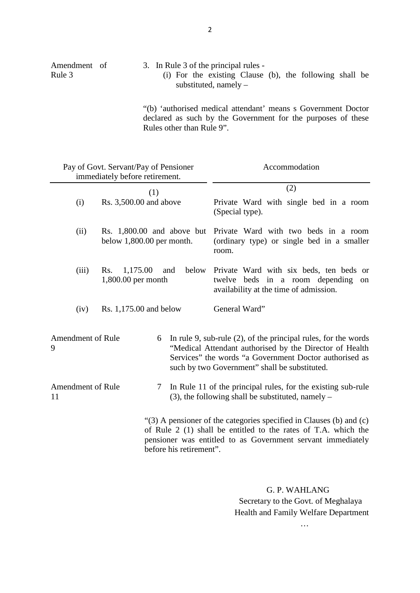|                        | 2                                                                                                                             |
|------------------------|-------------------------------------------------------------------------------------------------------------------------------|
| Amendment of<br>Rule 3 | 3. In Rule 3 of the principal rules -<br>(i) For the existing Clause (b), the following shall be<br>substituted, namely $-$   |
|                        | "(b) 'authorised medical attendant' means s Government Doctor<br>declared as such by the Government for the purposes of these |

Rules other than Rule 9".

|                                     | Pay of Govt. Servant/Pay of Pensioner<br>immediately before retirement. | Accommodation                                                                                                                                                                                                                           |
|-------------------------------------|-------------------------------------------------------------------------|-----------------------------------------------------------------------------------------------------------------------------------------------------------------------------------------------------------------------------------------|
|                                     | (1)                                                                     | (2)                                                                                                                                                                                                                                     |
| (i)                                 | Rs. 3,500.00 and above                                                  | Private Ward with single bed in a room<br>(Special type).                                                                                                                                                                               |
| (ii)                                | Rs. 1,800.00 and above but<br>below $1,800.00$ per month.               | Private Ward with two beds in a room<br>(ordinary type) or single bed in a smaller<br>room.                                                                                                                                             |
| (iii)                               | 1,175.00<br>below<br>Rs.<br>and<br>1,800.00 per month                   | Private Ward with six beds, ten beds or<br>twelve beds in a room depending on<br>availability at the time of admission.                                                                                                                 |
| (iv)                                | Rs. 1,175.00 and below                                                  | General Ward"                                                                                                                                                                                                                           |
| <b>Amendment of Rule</b><br>9       | 6                                                                       | In rule 9, sub-rule $(2)$ , of the principal rules, for the words<br>"Medical Attendant authorised by the Director of Health<br>Services" the words "a Government Doctor authorised as<br>such by two Government" shall be substituted. |
| <b>Amendment of Rule</b><br>7<br>11 |                                                                         | In Rule 11 of the principal rules, for the existing sub-rule<br>$(3)$ , the following shall be substituted, namely –                                                                                                                    |

as Government servant immediately<br>
G. P. WAHLANG<br>
Secretary to the Govt. of Meghalaya G. P. WAHLANG<br>Secretary to the Govt. of Meghalaya<br>Health and Family Welfare Department<br>…